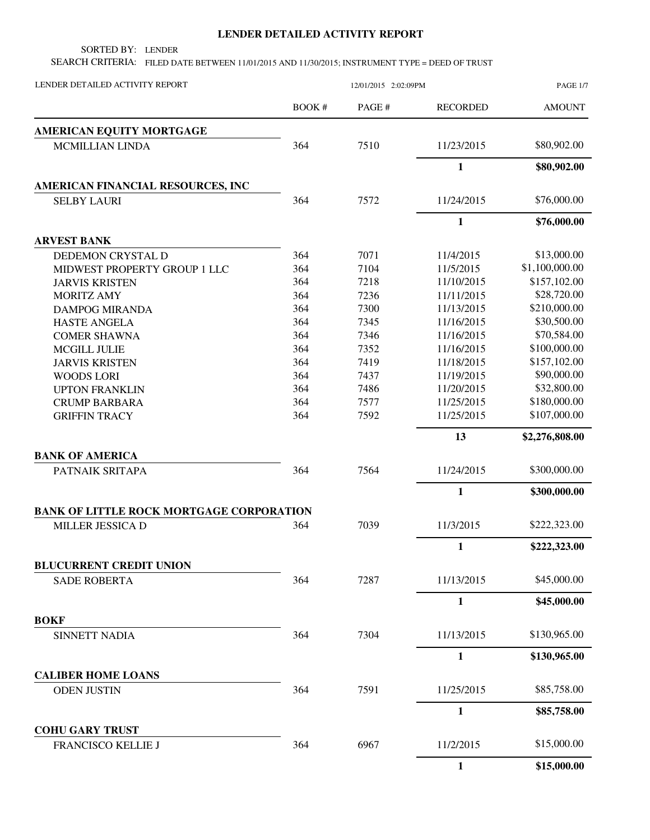## **LENDER DETAILED ACTIVITY REPORT**

SORTED BY: LENDER

SEARCH CRITERIA: FILED DATE BETWEEN 11/01/2015 AND 11/30/2015; INSTRUMENT TYPE = DEED OF TRUST

| LENDER DETAILED ACTIVITY REPORT                 | 12/01/2015 2:02:09PM |        |                 | <b>PAGE 1/7</b> |
|-------------------------------------------------|----------------------|--------|-----------------|-----------------|
|                                                 | <b>BOOK#</b>         | PAGE # | <b>RECORDED</b> | <b>AMOUNT</b>   |
| AMERICAN EQUITY MORTGAGE                        |                      |        |                 |                 |
| <b>MCMILLIAN LINDA</b>                          | 364                  | 7510   | 11/23/2015      | \$80,902.00     |
|                                                 |                      |        | $\mathbf{1}$    | \$80,902.00     |
| AMERICAN FINANCIAL RESOURCES, INC               |                      |        |                 |                 |
| <b>SELBY LAURI</b>                              | 364                  | 7572   | 11/24/2015      | \$76,000.00     |
|                                                 |                      |        | $\mathbf{1}$    | \$76,000.00     |
| <b>ARVEST BANK</b>                              |                      |        |                 |                 |
| DEDEMON CRYSTAL D                               | 364                  | 7071   | 11/4/2015       | \$13,000.00     |
| MIDWEST PROPERTY GROUP 1 LLC                    | 364                  | 7104   | 11/5/2015       | \$1,100,000.00  |
| <b>JARVIS KRISTEN</b>                           | 364                  | 7218   | 11/10/2015      | \$157,102.00    |
| <b>MORITZ AMY</b>                               | 364                  | 7236   | 11/11/2015      | \$28,720.00     |
| <b>DAMPOG MIRANDA</b>                           | 364                  | 7300   | 11/13/2015      | \$210,000.00    |
| <b>HASTE ANGELA</b>                             | 364                  | 7345   | 11/16/2015      | \$30,500.00     |
| <b>COMER SHAWNA</b>                             | 364                  | 7346   | 11/16/2015      | \$70,584.00     |
| <b>MCGILL JULIE</b>                             | 364                  | 7352   | 11/16/2015      | \$100,000.00    |
| <b>JARVIS KRISTEN</b>                           | 364                  | 7419   | 11/18/2015      | \$157,102.00    |
| <b>WOODS LORI</b>                               | 364                  | 7437   | 11/19/2015      | \$90,000.00     |
| <b>UPTON FRANKLIN</b>                           | 364                  | 7486   | 11/20/2015      | \$32,800.00     |
| <b>CRUMP BARBARA</b>                            | 364                  | 7577   | 11/25/2015      | \$180,000.00    |
| <b>GRIFFIN TRACY</b>                            | 364                  | 7592   | 11/25/2015      | \$107,000.00    |
|                                                 |                      |        | 13              | \$2,276,808.00  |
| <b>BANK OF AMERICA</b>                          |                      |        |                 |                 |
| PATNAIK SRITAPA                                 | 364                  | 7564   | 11/24/2015      | \$300,000.00    |
|                                                 |                      |        | 1               | \$300,000.00    |
| <b>BANK OF LITTLE ROCK MORTGAGE CORPORATION</b> |                      |        |                 |                 |
| MILLER JESSICA D                                | 364                  | 7039   | 11/3/2015       | \$222,323.00    |
|                                                 |                      |        | $\mathbf{1}$    | \$222,323.00    |
| <b>BLUCURRENT CREDIT UNION</b>                  |                      |        |                 |                 |
| <b>SADE ROBERTA</b>                             | 364                  | 7287   | 11/13/2015      | \$45,000.00     |
|                                                 |                      |        | $\mathbf{1}$    | \$45,000.00     |
| <b>BOKF</b>                                     |                      |        |                 |                 |
| <b>SINNETT NADIA</b>                            | 364                  | 7304   | 11/13/2015      | \$130,965.00    |
|                                                 |                      |        | $\mathbf{1}$    | \$130,965.00    |
| <b>CALIBER HOME LOANS</b>                       |                      |        |                 |                 |
| <b>ODEN JUSTIN</b>                              | 364                  | 7591   | 11/25/2015      | \$85,758.00     |
|                                                 |                      |        | 1               | \$85,758.00     |
| <b>COHU GARY TRUST</b>                          |                      |        |                 |                 |
| FRANCISCO KELLIE J                              | 364                  | 6967   | 11/2/2015       | \$15,000.00     |
|                                                 |                      |        | $\mathbf{1}$    | \$15,000.00     |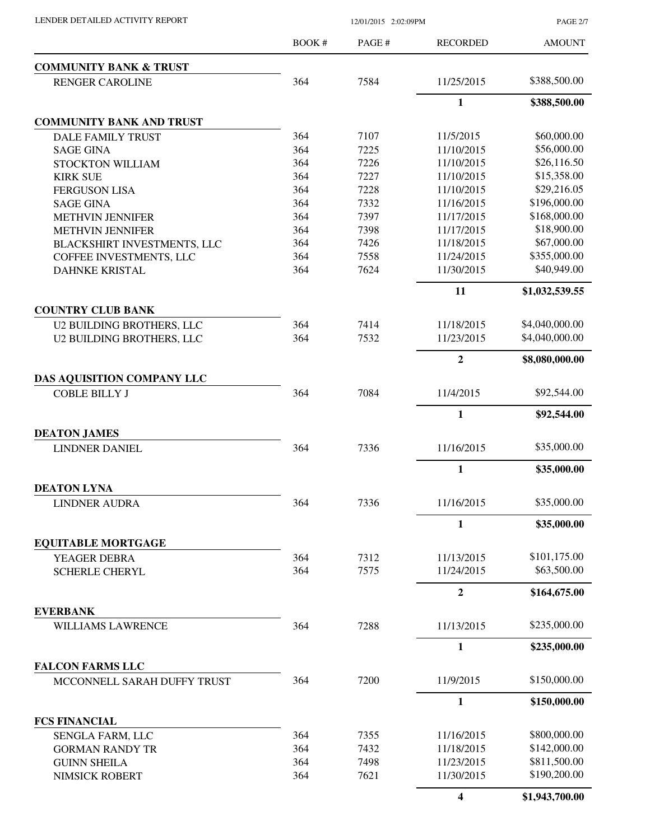|                                   | BOOK # | PAGE#        | <b>RECORDED</b>         | <b>AMOUNT</b>                |
|-----------------------------------|--------|--------------|-------------------------|------------------------------|
| <b>COMMUNITY BANK &amp; TRUST</b> |        |              |                         |                              |
| <b>RENGER CAROLINE</b>            | 364    | 7584         | 11/25/2015              | \$388,500.00                 |
|                                   |        |              | $\mathbf{1}$            | \$388,500.00                 |
| <b>COMMUNITY BANK AND TRUST</b>   |        |              |                         |                              |
| DALE FAMILY TRUST                 | 364    | 7107         | 11/5/2015               | \$60,000.00                  |
| <b>SAGE GINA</b>                  | 364    | 7225         | 11/10/2015              | \$56,000.00                  |
| STOCKTON WILLIAM                  | 364    | 7226         | 11/10/2015              | \$26,116.50                  |
| <b>KIRK SUE</b>                   | 364    | 7227         | 11/10/2015              | \$15,358.00                  |
| <b>FERGUSON LISA</b>              | 364    | 7228         | 11/10/2015              | \$29,216.05                  |
| <b>SAGE GINA</b>                  | 364    | 7332         | 11/16/2015              | \$196,000.00                 |
| <b>METHVIN JENNIFER</b>           | 364    | 7397         | 11/17/2015              | \$168,000.00                 |
| <b>METHVIN JENNIFER</b>           | 364    | 7398         | 11/17/2015              | \$18,900.00                  |
| BLACKSHIRT INVESTMENTS, LLC       | 364    | 7426         | 11/18/2015              | \$67,000.00                  |
| COFFEE INVESTMENTS, LLC           | 364    | 7558         | 11/24/2015              | \$355,000.00                 |
| <b>DAHNKE KRISTAL</b>             | 364    | 7624         | 11/30/2015              | \$40,949.00                  |
|                                   |        |              | 11                      | \$1,032,539.55               |
| <b>COUNTRY CLUB BANK</b>          |        |              |                         |                              |
| <b>U2 BUILDING BROTHERS, LLC</b>  | 364    | 7414         | 11/18/2015              | \$4,040,000.00               |
| <b>U2 BUILDING BROTHERS, LLC</b>  | 364    | 7532         | 11/23/2015              | \$4,040,000.00               |
|                                   |        |              | $\overline{2}$          | \$8,080,000.00               |
| DAS AQUISITION COMPANY LLC        |        |              |                         |                              |
| <b>COBLE BILLY J</b>              | 364    | 7084         | 11/4/2015               | \$92,544.00                  |
|                                   |        |              | $\mathbf{1}$            | \$92,544.00                  |
| <b>DEATON JAMES</b>               |        |              |                         |                              |
| <b>LINDNER DANIEL</b>             | 364    | 7336         | 11/16/2015              | \$35,000.00                  |
|                                   |        |              | 1                       | \$35,000.00                  |
| <b>DEATON LYNA</b>                |        |              |                         |                              |
| <b>LINDNER AUDRA</b>              | 364    | 7336         | 11/16/2015              | \$35,000.00                  |
|                                   |        |              | 1                       | \$35,000.00                  |
| <b>EQUITABLE MORTGAGE</b>         |        |              |                         |                              |
| YEAGER DEBRA                      | 364    | 7312         | 11/13/2015              | \$101,175.00                 |
| <b>SCHERLE CHERYL</b>             | 364    | 7575         | 11/24/2015              | \$63,500.00                  |
|                                   |        |              | $\overline{2}$          | \$164,675.00                 |
| <b>EVERBANK</b>                   |        |              |                         | \$235,000.00                 |
| WILLIAMS LAWRENCE                 | 364    | 7288         | 11/13/2015              |                              |
|                                   |        |              | 1                       | \$235,000.00                 |
| <b>FALCON FARMS LLC</b>           |        |              |                         |                              |
| MCCONNELL SARAH DUFFY TRUST       | 364    | 7200         | 11/9/2015               | \$150,000.00                 |
|                                   |        |              | 1                       | \$150,000.00                 |
| <b>FCS FINANCIAL</b>              |        |              |                         |                              |
| SENGLA FARM, LLC                  | 364    | 7355         | 11/16/2015              | \$800,000.00                 |
| <b>GORMAN RANDY TR</b>            | 364    | 7432         | 11/18/2015              | \$142,000.00                 |
| <b>GUINN SHEILA</b>               | 364    | 7498<br>7621 | 11/23/2015              | \$811,500.00<br>\$190,200.00 |
| NIMSICK ROBERT                    | 364    |              | 11/30/2015              |                              |
|                                   |        |              | $\overline{\mathbf{4}}$ | \$1,943,700.00               |

LENDER DETAILED ACTIVITY REPORT 12/01/2015 2:02:09PM

PAGE 2/7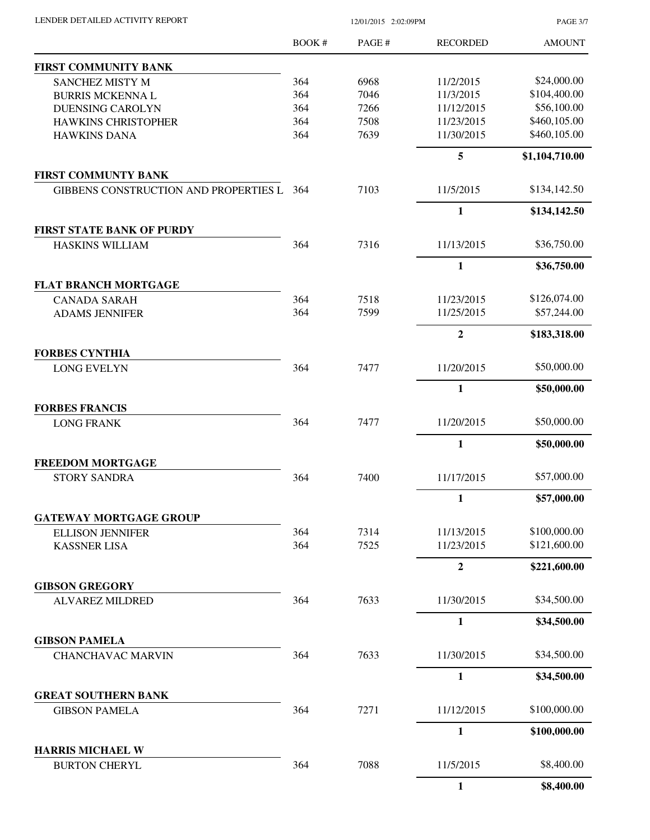PAGE 3/7

|                                                    | BOOK# | PAGE# | <b>RECORDED</b> | <b>AMOUNT</b>  |
|----------------------------------------------------|-------|-------|-----------------|----------------|
| <b>FIRST COMMUNITY BANK</b>                        |       |       |                 |                |
| SANCHEZ MISTY M                                    | 364   | 6968  | 11/2/2015       | \$24,000.00    |
| <b>BURRIS MCKENNA L</b>                            | 364   | 7046  | 11/3/2015       | \$104,400.00   |
| <b>DUENSING CAROLYN</b>                            | 364   | 7266  | 11/12/2015      | \$56,100.00    |
| <b>HAWKINS CHRISTOPHER</b>                         | 364   | 7508  | 11/23/2015      | \$460,105.00   |
| <b>HAWKINS DANA</b>                                | 364   | 7639  | 11/30/2015      | \$460,105.00   |
|                                                    |       |       | 5               | \$1,104,710.00 |
| FIRST COMMUNTY BANK                                |       |       |                 |                |
| GIBBENS CONSTRUCTION AND PROPERTIES L              | 364   | 7103  | 11/5/2015       | \$134,142.50   |
| <b>FIRST STATE BANK OF PURDY</b>                   |       |       | $\mathbf{1}$    | \$134,142.50   |
| <b>HASKINS WILLIAM</b>                             | 364   | 7316  | 11/13/2015      | \$36,750.00    |
|                                                    |       |       | 1               | \$36,750.00    |
| <b>FLAT BRANCH MORTGAGE</b>                        |       |       |                 |                |
| <b>CANADA SARAH</b>                                | 364   | 7518  | 11/23/2015      | \$126,074.00   |
| <b>ADAMS JENNIFER</b>                              | 364   | 7599  | 11/25/2015      | \$57,244.00    |
|                                                    |       |       | $\overline{2}$  | \$183,318.00   |
| <b>FORBES CYNTHIA</b>                              |       |       |                 |                |
| <b>LONG EVELYN</b>                                 | 364   | 7477  | 11/20/2015      | \$50,000.00    |
|                                                    |       |       | $\mathbf{1}$    | \$50,000.00    |
| <b>FORBES FRANCIS</b><br><b>LONG FRANK</b>         | 364   | 7477  | 11/20/2015      | \$50,000.00    |
|                                                    |       |       |                 |                |
|                                                    |       |       | $\mathbf{1}$    | \$50,000.00    |
| <b>FREEDOM MORTGAGE</b><br><b>STORY SANDRA</b>     | 364   | 7400  | 11/17/2015      | \$57,000.00    |
|                                                    |       |       | $\mathbf{1}$    | \$57,000.00    |
| <b>GATEWAY MORTGAGE GROUP</b>                      |       |       |                 |                |
| <b>ELLISON JENNIFER</b>                            | 364   | 7314  | 11/13/2015      | \$100,000.00   |
| <b>KASSNER LISA</b>                                | 364   | 7525  | 11/23/2015      | \$121,600.00   |
|                                                    |       |       | $\overline{2}$  | \$221,600.00   |
| <b>GIBSON GREGORY</b>                              |       |       |                 |                |
| <b>ALVAREZ MILDRED</b>                             | 364   | 7633  | 11/30/2015      | \$34,500.00    |
|                                                    |       |       | $\mathbf{1}$    | \$34,500.00    |
| <b>GIBSON PAMELA</b>                               |       |       |                 |                |
| <b>CHANCHAVAC MARVIN</b>                           | 364   | 7633  | 11/30/2015      | \$34,500.00    |
|                                                    |       |       | $\mathbf{1}$    | \$34,500.00    |
| <b>GREAT SOUTHERN BANK</b><br><b>GIBSON PAMELA</b> | 364   | 7271  | 11/12/2015      | \$100,000.00   |
|                                                    |       |       |                 |                |
| <b>HARRIS MICHAEL W</b>                            |       |       | $\mathbf{1}$    | \$100,000.00   |
| <b>BURTON CHERYL</b>                               | 364   | 7088  | 11/5/2015       | \$8,400.00     |
|                                                    |       |       | $\mathbf{1}$    | \$8,400.00     |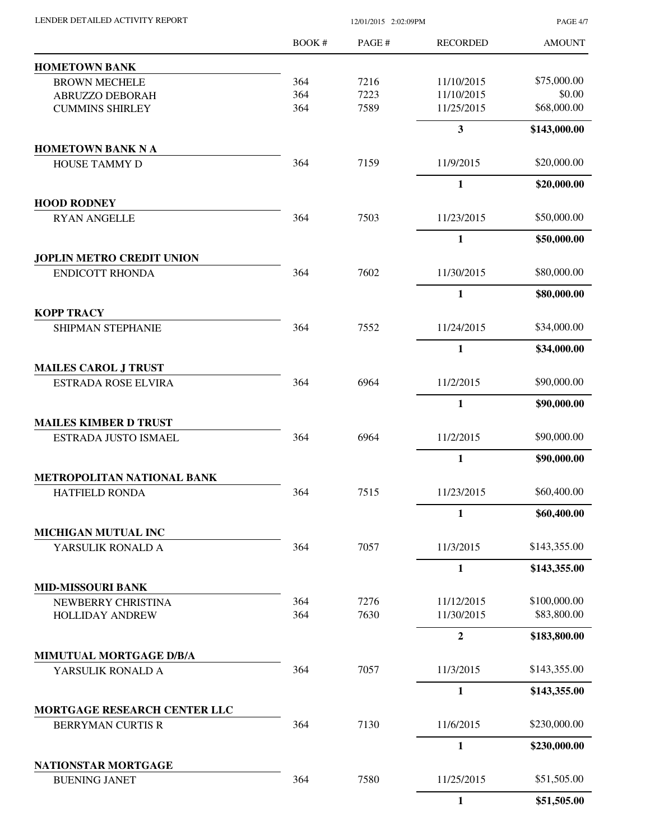| LENDER DETAILED ACTIVITY REPORT |  |
|---------------------------------|--|

12/01/2015 2:02:09PM

PAGE 4/7

|                                                  | BOOK# | PAGE # | <b>RECORDED</b> | <b>AMOUNT</b> |
|--------------------------------------------------|-------|--------|-----------------|---------------|
| <b>HOMETOWN BANK</b>                             |       |        |                 |               |
| <b>BROWN MECHELE</b>                             | 364   | 7216   | 11/10/2015      | \$75,000.00   |
| ABRUZZO DEBORAH                                  | 364   | 7223   | 11/10/2015      | \$0.00        |
| <b>CUMMINS SHIRLEY</b>                           | 364   | 7589   | 11/25/2015      | \$68,000.00   |
|                                                  |       |        | $\mathbf{3}$    | \$143,000.00  |
| <b>HOMETOWN BANK N A</b><br><b>HOUSE TAMMY D</b> | 364   | 7159   | 11/9/2015       | \$20,000.00   |
|                                                  |       |        | $\mathbf{1}$    | \$20,000.00   |
| <b>HOOD RODNEY</b>                               |       |        |                 |               |
| <b>RYAN ANGELLE</b>                              | 364   | 7503   | 11/23/2015      | \$50,000.00   |
|                                                  |       |        | $\mathbf{1}$    | \$50,000.00   |
| <b>JOPLIN METRO CREDIT UNION</b>                 |       |        |                 |               |
| <b>ENDICOTT RHONDA</b>                           | 364   | 7602   | 11/30/2015      | \$80,000.00   |
|                                                  |       |        | $\mathbf{1}$    | \$80,000.00   |
| <b>KOPP TRACY</b>                                | 364   | 7552   | 11/24/2015      | \$34,000.00   |
| <b>SHIPMAN STEPHANIE</b>                         |       |        |                 |               |
| <b>MAILES CAROL J TRUST</b>                      |       |        | $\mathbf{1}$    | \$34,000.00   |
| <b>ESTRADA ROSE ELVIRA</b>                       | 364   | 6964   | 11/2/2015       | \$90,000.00   |
|                                                  |       |        | $\mathbf{1}$    | \$90,000.00   |
| <b>MAILES KIMBER D TRUST</b>                     |       |        |                 |               |
| ESTRADA JUSTO ISMAEL                             | 364   | 6964   | 11/2/2015       | \$90,000.00   |
|                                                  |       |        | $\mathbf{1}$    | \$90,000.00   |
| METROPOLITAN NATIONAL BANK                       |       |        |                 |               |
| <b>HATFIELD RONDA</b>                            | 364   | 7515   | 11/23/2015      | \$60,400.00   |
|                                                  |       |        | $\mathbf{1}$    | \$60,400.00   |
| MICHIGAN MUTUAL INC<br>YARSULIK RONALD A         | 364   | 7057   | 11/3/2015       | \$143,355.00  |
|                                                  |       |        | 1               | \$143,355.00  |
|                                                  |       |        |                 |               |
| <b>MID-MISSOURI BANK</b><br>NEWBERRY CHRISTINA   | 364   | 7276   | 11/12/2015      | \$100,000.00  |
| <b>HOLLIDAY ANDREW</b>                           | 364   | 7630   | 11/30/2015      | \$83,800.00   |
|                                                  |       |        | $\overline{2}$  | \$183,800.00  |
| MIMUTUAL MORTGAGE D/B/A                          |       |        |                 |               |
| YARSULIK RONALD A                                | 364   | 7057   | 11/3/2015       | \$143,355.00  |
|                                                  |       |        | $\mathbf{1}$    | \$143,355.00  |
| MORTGAGE RESEARCH CENTER LLC                     |       |        |                 |               |
| <b>BERRYMAN CURTIS R</b>                         | 364   | 7130   | 11/6/2015       | \$230,000.00  |
|                                                  |       |        | 1               | \$230,000.00  |
| NATIONSTAR MORTGAGE<br><b>BUENING JANET</b>      | 364   | 7580   | 11/25/2015      | \$51,505.00   |
|                                                  |       |        | $\mathbf{1}$    | \$51,505.00   |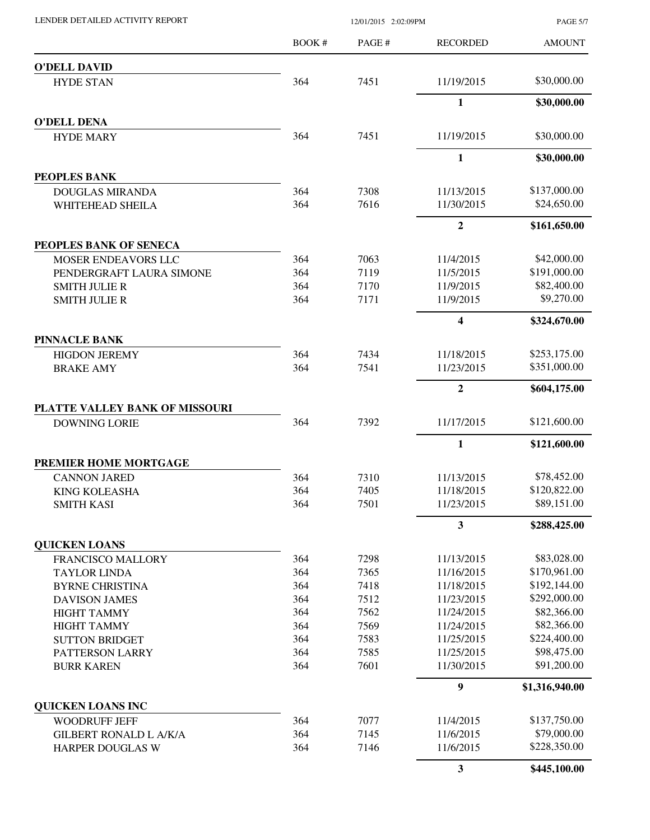PAGE 5/7

|                                                        | BOOK#      | PAGE#        | <b>RECORDED</b>        | <b>AMOUNT</b>               |
|--------------------------------------------------------|------------|--------------|------------------------|-----------------------------|
| <b>O'DELL DAVID</b>                                    |            |              |                        |                             |
| <b>HYDE STAN</b>                                       | 364        | 7451         | 11/19/2015             | \$30,000.00                 |
|                                                        |            |              | 1                      | \$30,000.00                 |
| <b>O'DELL DENA</b>                                     |            |              |                        |                             |
| <b>HYDE MARY</b>                                       | 364        | 7451         | 11/19/2015             | \$30,000.00                 |
|                                                        |            |              | 1                      | \$30,000.00                 |
| PEOPLES BANK                                           |            |              |                        |                             |
| <b>DOUGLAS MIRANDA</b>                                 | 364        | 7308         | 11/13/2015             | \$137,000.00                |
| WHITEHEAD SHEILA                                       | 364        | 7616         | 11/30/2015             | \$24,650.00                 |
|                                                        |            |              | $\overline{2}$         | \$161,650.00                |
| PEOPLES BANK OF SENECA                                 |            |              |                        |                             |
| <b>MOSER ENDEAVORS LLC</b><br>PENDERGRAFT LAURA SIMONE | 364<br>364 | 7063<br>7119 | 11/4/2015<br>11/5/2015 | \$42,000.00<br>\$191,000.00 |
| <b>SMITH JULIE R</b>                                   | 364        | 7170         | 11/9/2015              | \$82,400.00                 |
| <b>SMITH JULIE R</b>                                   | 364        | 7171         | 11/9/2015              | \$9,270.00                  |
|                                                        |            |              | 4                      | \$324,670.00                |
| <b>PINNACLE BANK</b>                                   |            |              |                        |                             |
| <b>HIGDON JEREMY</b>                                   | 364        | 7434         | 11/18/2015             | \$253,175.00                |
| <b>BRAKE AMY</b>                                       | 364        | 7541         | 11/23/2015             | \$351,000.00                |
|                                                        |            |              | $\mathbf{2}$           | \$604,175.00                |
| PLATTE VALLEY BANK OF MISSOURI                         |            |              |                        |                             |
| <b>DOWNING LORIE</b>                                   | 364        | 7392         | 11/17/2015             | \$121,600.00                |
|                                                        |            |              | $\mathbf{1}$           | \$121,600.00                |
| PREMIER HOME MORTGAGE                                  |            |              |                        |                             |
| <b>CANNON JARED</b>                                    | 364        | 7310         | 11/13/2015             | \$78,452.00                 |
| <b>KING KOLEASHA</b>                                   | 364        | 7405         | 11/18/2015             | \$120,822.00                |
| <b>SMITH KASI</b>                                      | 364        | 7501         | 11/23/2015             | \$89,151.00                 |
|                                                        |            |              | 3                      | \$288,425.00                |
| <b>QUICKEN LOANS</b><br>FRANCISCO MALLORY              | 364        | 7298         | 11/13/2015             | \$83,028.00                 |
| <b>TAYLOR LINDA</b>                                    | 364        | 7365         | 11/16/2015             | \$170,961.00                |
| <b>BYRNE CHRISTINA</b>                                 | 364        | 7418         | 11/18/2015             | \$192,144.00                |
| <b>DAVISON JAMES</b>                                   | 364        | 7512         | 11/23/2015             | \$292,000.00                |
| <b>HIGHT TAMMY</b>                                     | 364        | 7562         | 11/24/2015             | \$82,366.00                 |
| <b>HIGHT TAMMY</b>                                     | 364        | 7569         | 11/24/2015             | \$82,366.00                 |
| <b>SUTTON BRIDGET</b>                                  | 364        | 7583         | 11/25/2015             | \$224,400.00                |
| PATTERSON LARRY                                        | 364        | 7585         | 11/25/2015             | \$98,475.00                 |
| <b>BURR KAREN</b>                                      | 364        | 7601         | 11/30/2015             | \$91,200.00                 |
|                                                        |            |              | 9                      | \$1,316,940.00              |
| <b>QUICKEN LOANS INC</b>                               |            |              |                        |                             |
| <b>WOODRUFF JEFF</b>                                   | 364        | 7077         | 11/4/2015              | \$137,750.00                |
| <b>GILBERT RONALD L A/K/A</b>                          | 364        | 7145         | 11/6/2015              | \$79,000.00                 |
| HARPER DOUGLAS W                                       | 364        | 7146         | 11/6/2015              | \$228,350.00                |
|                                                        |            |              | 3                      | \$445,100.00                |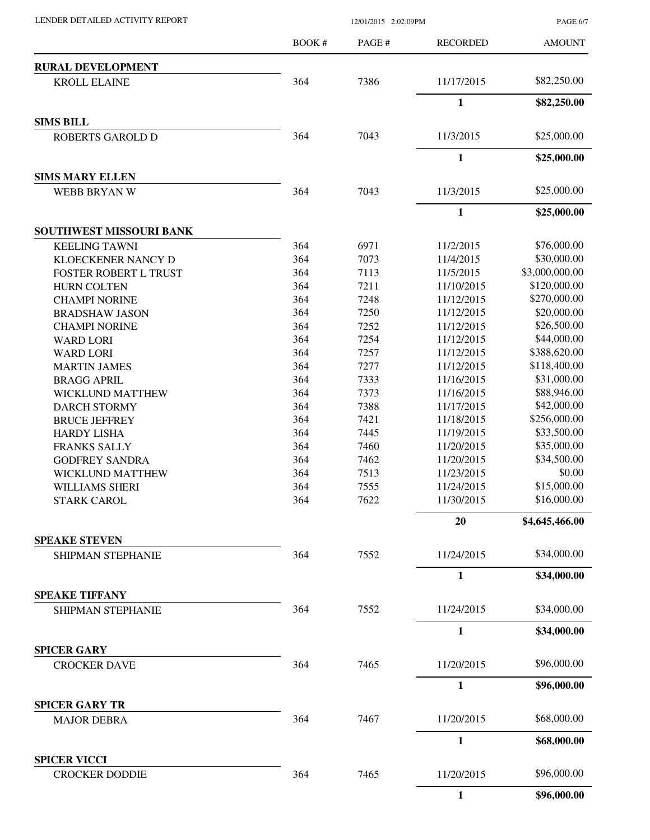LENDER DETAILED ACTIVITY REPORT 12/01/2015 2:02:09PM

PAGE 6/7

|                                           | <b>BOOK#</b> | PAGE# | <b>RECORDED</b> | <b>AMOUNT</b>  |
|-------------------------------------------|--------------|-------|-----------------|----------------|
| <b>RURAL DEVELOPMENT</b>                  |              |       |                 |                |
| <b>KROLL ELAINE</b>                       | 364          | 7386  | 11/17/2015      | \$82,250.00    |
|                                           |              |       | 1               | \$82,250.00    |
| <b>SIMS BILL</b>                          |              |       |                 |                |
| <b>ROBERTS GAROLD D</b>                   | 364          | 7043  | 11/3/2015       | \$25,000.00    |
|                                           |              |       | $\mathbf{1}$    | \$25,000.00    |
| <b>SIMS MARY ELLEN</b>                    |              |       |                 |                |
| WEBB BRYAN W                              | 364          | 7043  | 11/3/2015       | \$25,000.00    |
|                                           |              |       | 1               | \$25,000.00    |
| SOUTHWEST MISSOURI BANK                   |              |       |                 |                |
| <b>KEELING TAWNI</b>                      | 364          | 6971  | 11/2/2015       | \$76,000.00    |
| <b>KLOECKENER NANCY D</b>                 | 364          | 7073  | 11/4/2015       | \$30,000.00    |
| FOSTER ROBERT L TRUST                     | 364          | 7113  | 11/5/2015       | \$3,000,000.00 |
| <b>HURN COLTEN</b>                        | 364          | 7211  | 11/10/2015      | \$120,000.00   |
| <b>CHAMPI NORINE</b>                      | 364          | 7248  | 11/12/2015      | \$270,000.00   |
| <b>BRADSHAW JASON</b>                     | 364          | 7250  | 11/12/2015      | \$20,000.00    |
| <b>CHAMPI NORINE</b>                      | 364          | 7252  | 11/12/2015      | \$26,500.00    |
| <b>WARD LORI</b>                          | 364          | 7254  | 11/12/2015      | \$44,000.00    |
| <b>WARD LORI</b>                          | 364          | 7257  | 11/12/2015      | \$388,620.00   |
| <b>MARTIN JAMES</b>                       | 364          | 7277  | 11/12/2015      | \$118,400.00   |
| <b>BRAGG APRIL</b>                        | 364          | 7333  | 11/16/2015      | \$31,000.00    |
| <b>WICKLUND MATTHEW</b>                   | 364          | 7373  | 11/16/2015      | \$88,946.00    |
| <b>DARCH STORMY</b>                       | 364          | 7388  | 11/17/2015      | \$42,000.00    |
| <b>BRUCE JEFFREY</b>                      | 364          | 7421  | 11/18/2015      | \$256,000.00   |
| <b>HARDY LISHA</b>                        | 364          | 7445  | 11/19/2015      | \$33,500.00    |
| <b>FRANKS SALLY</b>                       | 364          | 7460  | 11/20/2015      | \$35,000.00    |
|                                           | 364          | 7462  | 11/20/2015      | \$34,500.00    |
| <b>GODFREY SANDRA</b>                     | 364          | 7513  | 11/23/2015      | \$0.00         |
| WICKLUND MATTHEW                          |              |       |                 |                |
| WILLIAMS SHERI                            | 364          | 7555  | 11/24/2015      | \$15,000.00    |
| <b>STARK CAROL</b>                        | 364          | 7622  | 11/30/2015      | \$16,000.00    |
|                                           |              |       | 20              | \$4,645,466.00 |
| <b>SPEAKE STEVEN</b><br>SHIPMAN STEPHANIE | 364          | 7552  | 11/24/2015      | \$34,000.00    |
|                                           |              |       | 1               | \$34,000.00    |
| <b>SPEAKE TIFFANY</b>                     |              |       |                 |                |
| SHIPMAN STEPHANIE                         | 364          | 7552  | 11/24/2015      | \$34,000.00    |
|                                           |              |       | $\mathbf{1}$    | \$34,000.00    |
| <b>SPICER GARY</b>                        |              |       |                 |                |
| <b>CROCKER DAVE</b>                       | 364          | 7465  | 11/20/2015      | \$96,000.00    |
|                                           |              |       | $\mathbf{1}$    | \$96,000.00    |
| <b>SPICER GARY TR</b>                     |              |       |                 |                |
| <b>MAJOR DEBRA</b>                        | 364          | 7467  | 11/20/2015      | \$68,000.00    |
|                                           |              |       | 1               | \$68,000.00    |
| <b>SPICER VICCI</b>                       | 364          | 7465  | 11/20/2015      | \$96,000.00    |
| <b>CROCKER DODDIE</b>                     |              |       |                 |                |
|                                           |              |       | $\mathbf{1}$    | \$96,000.00    |